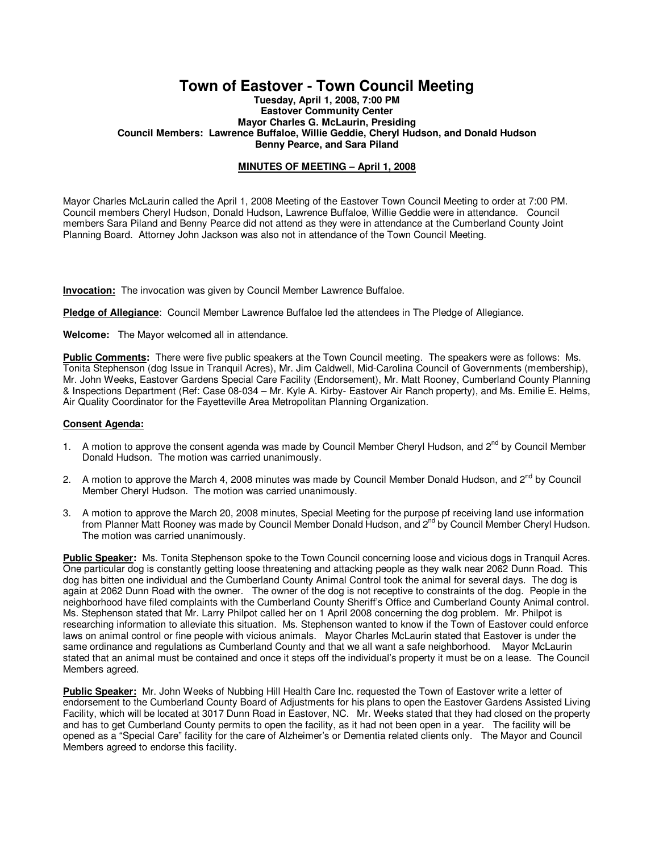## **Town of Eastover - Town Council Meeting**

**Tuesday, April 1, 2008, 7:00 PM Eastover Community Center Mayor Charles G. McLaurin, Presiding Council Members: Lawrence Buffaloe, Willie Geddie, Cheryl Hudson, and Donald Hudson Benny Pearce, and Sara Piland** 

## **MINUTES OF MEETING – April 1, 2008**

Mayor Charles McLaurin called the April 1, 2008 Meeting of the Eastover Town Council Meeting to order at 7:00 PM. Council members Cheryl Hudson, Donald Hudson, Lawrence Buffaloe, Willie Geddie were in attendance. Council members Sara Piland and Benny Pearce did not attend as they were in attendance at the Cumberland County Joint Planning Board. Attorney John Jackson was also not in attendance of the Town Council Meeting.

**Invocation:** The invocation was given by Council Member Lawrence Buffaloe.

**Pledge of Allegiance**: Council Member Lawrence Buffaloe led the attendees in The Pledge of Allegiance.

**Welcome:** The Mayor welcomed all in attendance.

**Public Comments:** There were five public speakers at the Town Council meeting. The speakers were as follows: Ms. Tonita Stephenson (dog Issue in Tranquil Acres), Mr. Jim Caldwell, Mid-Carolina Council of Governments (membership), Mr. John Weeks, Eastover Gardens Special Care Facility (Endorsement), Mr. Matt Rooney, Cumberland County Planning & Inspections Department (Ref: Case 08-034 – Mr. Kyle A. Kirby- Eastover Air Ranch property), and Ms. Emilie E. Helms, Air Quality Coordinator for the Fayetteville Area Metropolitan Planning Organization.

## **Consent Agenda:**

- 1. A motion to approve the consent agenda was made by Council Member Cheryl Hudson, and 2<sup>nd</sup> by Council Member Donald Hudson. The motion was carried unanimously.
- 2. A motion to approve the March 4, 2008 minutes was made by Council Member Donald Hudson, and  $2^{nd}$  by Council Member Cheryl Hudson. The motion was carried unanimously.
- 3. A motion to approve the March 20, 2008 minutes, Special Meeting for the purpose pf receiving land use information from Planner Matt Rooney was made by Council Member Donald Hudson, and 2<sup>nd</sup> by Council Member Cheryl Hudson. The motion was carried unanimously.

**Public Speaker:** Ms. Tonita Stephenson spoke to the Town Council concerning loose and vicious dogs in Tranquil Acres. One particular dog is constantly getting loose threatening and attacking people as they walk near 2062 Dunn Road. This dog has bitten one individual and the Cumberland County Animal Control took the animal for several days. The dog is again at 2062 Dunn Road with the owner. The owner of the dog is not receptive to constraints of the dog. People in the neighborhood have filed complaints with the Cumberland County Sheriff's Office and Cumberland County Animal control. Ms. Stephenson stated that Mr. Larry Philpot called her on 1 April 2008 concerning the dog problem. Mr. Philpot is researching information to alleviate this situation. Ms. Stephenson wanted to know if the Town of Eastover could enforce laws on animal control or fine people with vicious animals. Mayor Charles McLaurin stated that Eastover is under the same ordinance and regulations as Cumberland County and that we all want a safe neighborhood. Mayor McLaurin stated that an animal must be contained and once it steps off the individual's property it must be on a lease. The Council Members agreed.

**Public Speaker:** Mr. John Weeks of Nubbing Hill Health Care Inc. requested the Town of Eastover write a letter of endorsement to the Cumberland County Board of Adjustments for his plans to open the Eastover Gardens Assisted Living Facility, which will be located at 3017 Dunn Road in Eastover, NC. Mr. Weeks stated that they had closed on the property and has to get Cumberland County permits to open the facility, as it had not been open in a year. The facility will be opened as a "Special Care" facility for the care of Alzheimer's or Dementia related clients only. The Mayor and Council Members agreed to endorse this facility.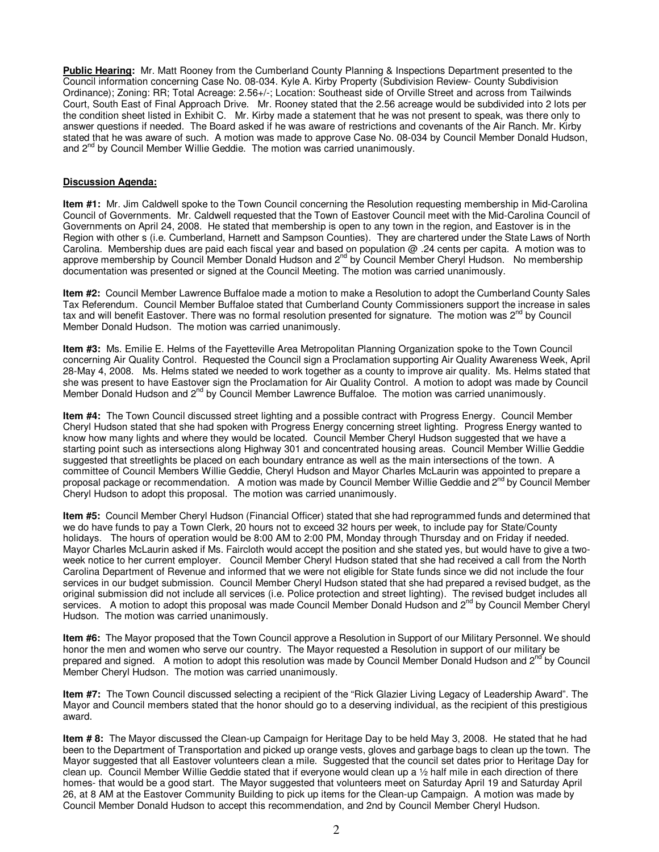**Public Hearing:** Mr. Matt Rooney from the Cumberland County Planning & Inspections Department presented to the Council information concerning Case No. 08-034. Kyle A. Kirby Property (Subdivision Review- County Subdivision Ordinance); Zoning: RR; Total Acreage: 2.56+/-; Location: Southeast side of Orville Street and across from Tailwinds Court, South East of Final Approach Drive. Mr. Rooney stated that the 2.56 acreage would be subdivided into 2 lots per the condition sheet listed in Exhibit C. Mr. Kirby made a statement that he was not present to speak, was there only to answer questions if needed. The Board asked if he was aware of restrictions and covenants of the Air Ranch. Mr. Kirby stated that he was aware of such. A motion was made to approve Case No. 08-034 by Council Member Donald Hudson, and 2<sup>nd</sup> by Council Member Willie Geddie. The motion was carried unanimously.

## **Discussion Agenda:**

**Item #1:** Mr. Jim Caldwell spoke to the Town Council concerning the Resolution requesting membership in Mid-Carolina Council of Governments. Mr. Caldwell requested that the Town of Eastover Council meet with the Mid-Carolina Council of Governments on April 24, 2008. He stated that membership is open to any town in the region, and Eastover is in the Region with other s (i.e. Cumberland, Harnett and Sampson Counties). They are chartered under the State Laws of North Carolina. Membership dues are paid each fiscal year and based on population @ .24 cents per capita. A motion was to approve membership by Council Member Donald Hudson and 2<sup>nd</sup> by Council Member Cheryl Hudson. No membership documentation was presented or signed at the Council Meeting. The motion was carried unanimously.

**Item #2:** Council Member Lawrence Buffaloe made a motion to make a Resolution to adopt the Cumberland County Sales Tax Referendum. Council Member Buffaloe stated that Cumberland County Commissioners support the increase in sales tax and will benefit Eastover. There was no formal resolution presented for signature. The motion was  $2^{nd}$  by Council Member Donald Hudson. The motion was carried unanimously.

**Item #3:** Ms. Emilie E. Helms of the Fayetteville Area Metropolitan Planning Organization spoke to the Town Council concerning Air Quality Control. Requested the Council sign a Proclamation supporting Air Quality Awareness Week, April 28-May 4, 2008. Ms. Helms stated we needed to work together as a county to improve air quality. Ms. Helms stated that she was present to have Eastover sign the Proclamation for Air Quality Control. A motion to adopt was made by Council Member Donald Hudson and 2<sup>nd</sup> by Council Member Lawrence Buffaloe. The motion was carried unanimously.

**Item #4:** The Town Council discussed street lighting and a possible contract with Progress Energy. Council Member Cheryl Hudson stated that she had spoken with Progress Energy concerning street lighting. Progress Energy wanted to know how many lights and where they would be located. Council Member Cheryl Hudson suggested that we have a starting point such as intersections along Highway 301 and concentrated housing areas. Council Member Willie Geddie suggested that streetlights be placed on each boundary entrance as well as the main intersections of the town. A committee of Council Members Willie Geddie, Cheryl Hudson and Mayor Charles McLaurin was appointed to prepare a proposal package or recommendation. A motion was made by Council Member Willie Geddie and 2<sup>nd</sup> by Council Member Cheryl Hudson to adopt this proposal. The motion was carried unanimously.

**Item #5:** Council Member Cheryl Hudson (Financial Officer) stated that she had reprogrammed funds and determined that we do have funds to pay a Town Clerk, 20 hours not to exceed 32 hours per week, to include pay for State/County holidays. The hours of operation would be 8:00 AM to 2:00 PM, Monday through Thursday and on Friday if needed. Mayor Charles McLaurin asked if Ms. Faircloth would accept the position and she stated yes, but would have to give a twoweek notice to her current employer. Council Member Cheryl Hudson stated that she had received a call from the North Carolina Department of Revenue and informed that we were not eligible for State funds since we did not include the four services in our budget submission. Council Member Cheryl Hudson stated that she had prepared a revised budget, as the original submission did not include all services (i.e. Police protection and street lighting). The revised budget includes all services. A motion to adopt this proposal was made Council Member Donald Hudson and 2<sup>nd</sup> by Council Member Cheryl Hudson. The motion was carried unanimously.

**Item #6:** The Mayor proposed that the Town Council approve a Resolution in Support of our Military Personnel. We should honor the men and women who serve our country. The Mayor requested a Resolution in support of our military be prepared and signed. A motion to adopt this resolution was made by Council Member Donald Hudson and 2<sup>nd</sup> by Council Member Cheryl Hudson. The motion was carried unanimously.

**Item #7:** The Town Council discussed selecting a recipient of the "Rick Glazier Living Legacy of Leadership Award". The Mayor and Council members stated that the honor should go to a deserving individual, as the recipient of this prestigious award.

**Item # 8:** The Mayor discussed the Clean-up Campaign for Heritage Day to be held May 3, 2008. He stated that he had been to the Department of Transportation and picked up orange vests, gloves and garbage bags to clean up the town. The Mayor suggested that all Eastover volunteers clean a mile. Suggested that the council set dates prior to Heritage Day for clean up. Council Member Willie Geddie stated that if everyone would clean up a ½ half mile in each direction of there homes- that would be a good start. The Mayor suggested that volunteers meet on Saturday April 19 and Saturday April 26, at 8 AM at the Eastover Community Building to pick up items for the Clean-up Campaign. A motion was made by Council Member Donald Hudson to accept this recommendation, and 2nd by Council Member Cheryl Hudson.